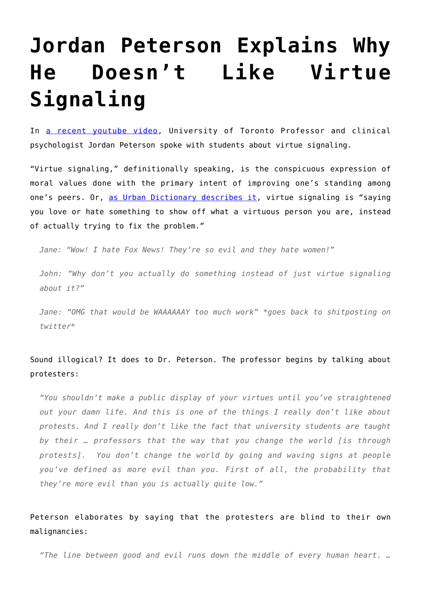## **[Jordan Peterson Explains Why](https://intellectualtakeout.org/2017/06/jordan-peterson-explains-why-he-doesnt-like-virtue-signaling/) [He Doesn't Like Virtue](https://intellectualtakeout.org/2017/06/jordan-peterson-explains-why-he-doesnt-like-virtue-signaling/) [Signaling](https://intellectualtakeout.org/2017/06/jordan-peterson-explains-why-he-doesnt-like-virtue-signaling/)**

In [a recent youtube video](https://www.youtube.com/watch?v=CLg6e0o0rPw), University of Toronto Professor and clinical psychologist Jordan Peterson spoke with students about virtue signaling.

"Virtue signaling," definitionally speaking, is the conspicuous expression of moral values done with the primary intent of improving one's standing among one's peers. Or, [as Urban Dictionary describes it](http://www.urbandictionary.com/define.php?term=virtue%20signalling), virtue signaling is "saying you love or hate something to show off what a virtuous person you are, instead of actually trying to fix the problem."

*Jane: "Wow! I hate Fox News! They're so evil and they hate women!"*

*John: "Why don't you actually do something instead of just virtue signaling about it?"*

*Jane: "OMG that would be WAAAAAAY too much work" \*goes back to shitposting on twitter\**

## Sound illogical? It does to Dr. Peterson. The professor begins by talking about protesters:

*"You shouldn't make a public display of your virtues until you've straightened out your damn life. And this is one of the things I really don't like about protests. And I really don't like the fact that university students are taught by their … professors that the way that you change the world [is through protests]. You don't change the world by going and waving signs at people you've defined as more evil than you. First of all, the probability that they're more evil than you is actually quite low."*

Peterson elaborates by saying that the protesters are blind to their own malignancies:

*"The line between good and evil runs down the middle of every human heart. …*